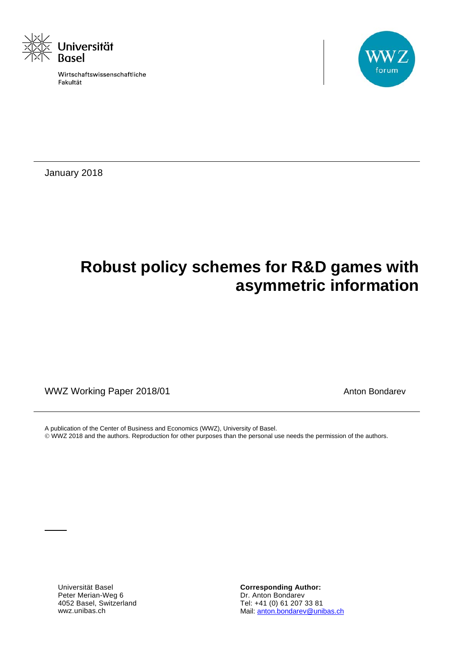

Wirtschaftswissenschaftliche Fakultät



January 2018

## **Robust policy schemes for R&D games with asymmetric information**

WWZ Working Paper 2018/01 MWZ Working Paper 2018/01

A publication of the Center of Business and Economics (WWZ), University of Basel. WWZ 2018 and the authors. Reproduction for other purposes than the personal use needs the permission of the authors.

Universität Basel Peter Merian-Weg 6 4052 Basel, Switzerland wwz.unibas.ch

**Corresponding Author:** Dr. Anton Bondarev Tel: +41 (0) 61 207 33 81 Mail: anton.bondarev@unibas.ch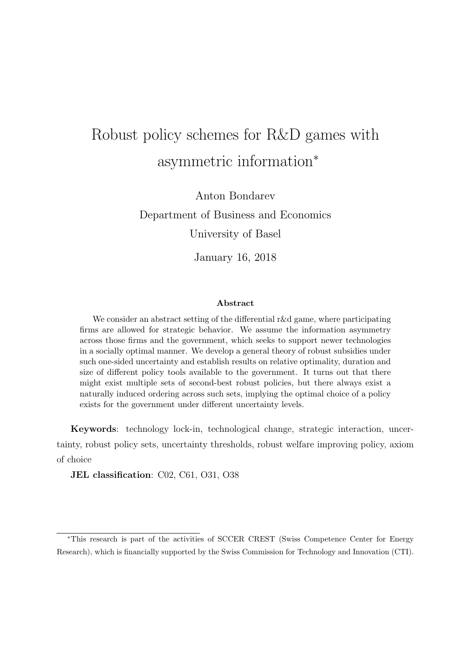# Robust policy schemes for R&D games with asymmetric information<sup>∗</sup>

Anton Bondarev Department of Business and Economics University of Basel

January 16, 2018

#### Abstract

We consider an abstract setting of the differential r&d game, where participating firms are allowed for strategic behavior. We assume the information asymmetry across those firms and the government, which seeks to support newer technologies in a socially optimal manner. We develop a general theory of robust subsidies under such one-sided uncertainty and establish results on relative optimality, duration and size of different policy tools available to the government. It turns out that there might exist multiple sets of second-best robust policies, but there always exist a naturally induced ordering across such sets, implying the optimal choice of a policy exists for the government under different uncertainty levels.

Keywords: technology lock-in, technological change, strategic interaction, uncertainty, robust policy sets, uncertainty thresholds, robust welfare improving policy, axiom of choice

JEL classification: C02, C61, O31, O38

<sup>∗</sup>This research is part of the activities of SCCER CREST (Swiss Competence Center for Energy Research), which is financially supported by the Swiss Commission for Technology and Innovation (CTI).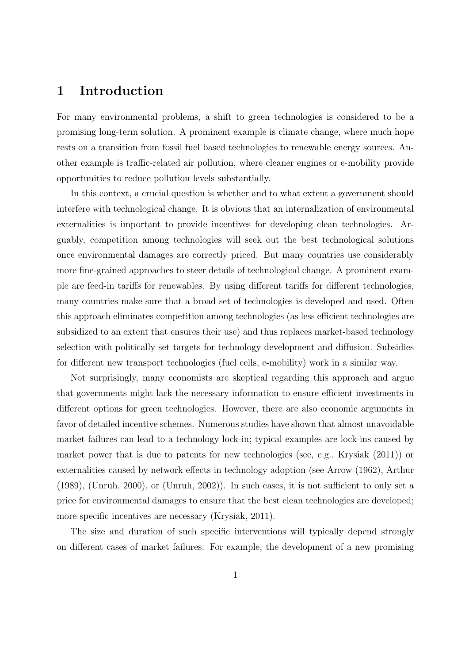### 1 Introduction

For many environmental problems, a shift to green technologies is considered to be a promising long-term solution. A prominent example is climate change, where much hope rests on a transition from fossil fuel based technologies to renewable energy sources. Another example is traffic-related air pollution, where cleaner engines or e-mobility provide opportunities to reduce pollution levels substantially.

In this context, a crucial question is whether and to what extent a government should interfere with technological change. It is obvious that an internalization of environmental externalities is important to provide incentives for developing clean technologies. Arguably, competition among technologies will seek out the best technological solutions once environmental damages are correctly priced. But many countries use considerably more fine-grained approaches to steer details of technological change. A prominent example are feed-in tariffs for renewables. By using different tariffs for different technologies, many countries make sure that a broad set of technologies is developed and used. Often this approach eliminates competition among technologies (as less efficient technologies are subsidized to an extent that ensures their use) and thus replaces market-based technology selection with politically set targets for technology development and diffusion. Subsidies for different new transport technologies (fuel cells, e-mobility) work in a similar way.

Not surprisingly, many economists are skeptical regarding this approach and argue that governments might lack the necessary information to ensure efficient investments in different options for green technologies. However, there are also economic arguments in favor of detailed incentive schemes. Numerous studies have shown that almost unavoidable market failures can lead to a technology lock-in; typical examples are lock-ins caused by market power that is due to patents for new technologies (see, e.g., Krysiak (2011)) or externalities caused by network effects in technology adoption (see Arrow (1962), Arthur (1989), (Unruh, 2000), or (Unruh, 2002)). In such cases, it is not sufficient to only set a price for environmental damages to ensure that the best clean technologies are developed; more specific incentives are necessary (Krysiak, 2011).

The size and duration of such specific interventions will typically depend strongly on different cases of market failures. For example, the development of a new promising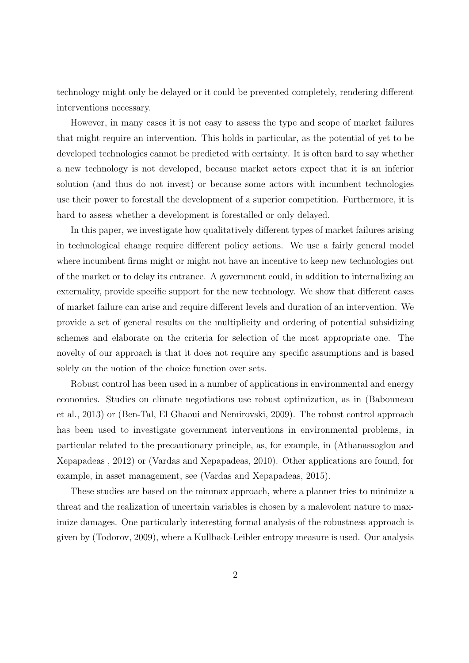technology might only be delayed or it could be prevented completely, rendering different interventions necessary.

However, in many cases it is not easy to assess the type and scope of market failures that might require an intervention. This holds in particular, as the potential of yet to be developed technologies cannot be predicted with certainty. It is often hard to say whether a new technology is not developed, because market actors expect that it is an inferior solution (and thus do not invest) or because some actors with incumbent technologies use their power to forestall the development of a superior competition. Furthermore, it is hard to assess whether a development is forestalled or only delayed.

In this paper, we investigate how qualitatively different types of market failures arising in technological change require different policy actions. We use a fairly general model where incumbent firms might or might not have an incentive to keep new technologies out of the market or to delay its entrance. A government could, in addition to internalizing an externality, provide specific support for the new technology. We show that different cases of market failure can arise and require different levels and duration of an intervention. We provide a set of general results on the multiplicity and ordering of potential subsidizing schemes and elaborate on the criteria for selection of the most appropriate one. The novelty of our approach is that it does not require any specific assumptions and is based solely on the notion of the choice function over sets.

Robust control has been used in a number of applications in environmental and energy economics. Studies on climate negotiations use robust optimization, as in (Babonneau et al., 2013) or (Ben-Tal, El Ghaoui and Nemirovski, 2009). The robust control approach has been used to investigate government interventions in environmental problems, in particular related to the precautionary principle, as, for example, in (Athanassoglou and Xepapadeas , 2012) or (Vardas and Xepapadeas, 2010). Other applications are found, for example, in asset management, see (Vardas and Xepapadeas, 2015).

These studies are based on the minmax approach, where a planner tries to minimize a threat and the realization of uncertain variables is chosen by a malevolent nature to maximize damages. One particularly interesting formal analysis of the robustness approach is given by (Todorov, 2009), where a Kullback-Leibler entropy measure is used. Our analysis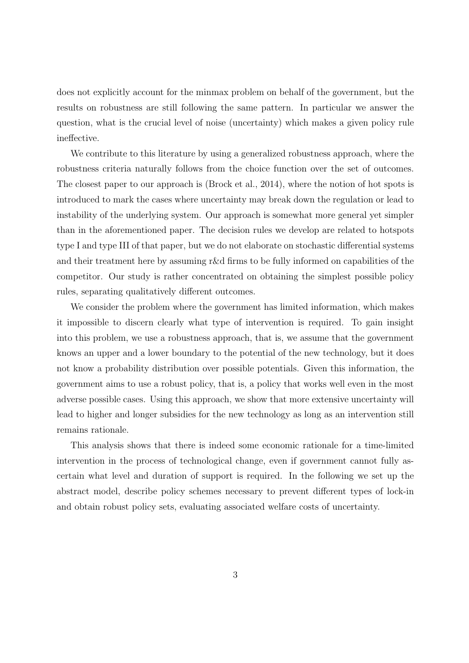does not explicitly account for the minmax problem on behalf of the government, but the results on robustness are still following the same pattern. In particular we answer the question, what is the crucial level of noise (uncertainty) which makes a given policy rule ineffective.

We contribute to this literature by using a generalized robustness approach, where the robustness criteria naturally follows from the choice function over the set of outcomes. The closest paper to our approach is (Brock et al., 2014), where the notion of hot spots is introduced to mark the cases where uncertainty may break down the regulation or lead to instability of the underlying system. Our approach is somewhat more general yet simpler than in the aforementioned paper. The decision rules we develop are related to hotspots type I and type III of that paper, but we do not elaborate on stochastic differential systems and their treatment here by assuming r&d firms to be fully informed on capabilities of the competitor. Our study is rather concentrated on obtaining the simplest possible policy rules, separating qualitatively different outcomes.

We consider the problem where the government has limited information, which makes it impossible to discern clearly what type of intervention is required. To gain insight into this problem, we use a robustness approach, that is, we assume that the government knows an upper and a lower boundary to the potential of the new technology, but it does not know a probability distribution over possible potentials. Given this information, the government aims to use a robust policy, that is, a policy that works well even in the most adverse possible cases. Using this approach, we show that more extensive uncertainty will lead to higher and longer subsidies for the new technology as long as an intervention still remains rationale.

This analysis shows that there is indeed some economic rationale for a time-limited intervention in the process of technological change, even if government cannot fully ascertain what level and duration of support is required. In the following we set up the abstract model, describe policy schemes necessary to prevent different types of lock-in and obtain robust policy sets, evaluating associated welfare costs of uncertainty.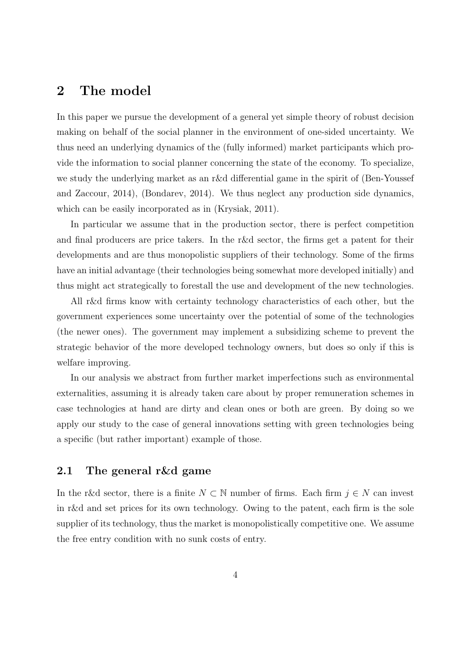### 2 The model

In this paper we pursue the development of a general yet simple theory of robust decision making on behalf of the social planner in the environment of one-sided uncertainty. We thus need an underlying dynamics of the (fully informed) market participants which provide the information to social planner concerning the state of the economy. To specialize, we study the underlying market as an r&d differential game in the spirit of (Ben-Youssef and Zaccour, 2014), (Bondarev, 2014). We thus neglect any production side dynamics, which can be easily incorporated as in *(Krysiak, 2011)*.

In particular we assume that in the production sector, there is perfect competition and final producers are price takers. In the r&d sector, the firms get a patent for their developments and are thus monopolistic suppliers of their technology. Some of the firms have an initial advantage (their technologies being somewhat more developed initially) and thus might act strategically to forestall the use and development of the new technologies.

All r&d firms know with certainty technology characteristics of each other, but the government experiences some uncertainty over the potential of some of the technologies (the newer ones). The government may implement a subsidizing scheme to prevent the strategic behavior of the more developed technology owners, but does so only if this is welfare improving.

In our analysis we abstract from further market imperfections such as environmental externalities, assuming it is already taken care about by proper remuneration schemes in case technologies at hand are dirty and clean ones or both are green. By doing so we apply our study to the case of general innovations setting with green technologies being a specific (but rather important) example of those.

#### 2.1 The general r&d game

In the r&d sector, there is a finite  $N \subset \mathbb{N}$  number of firms. Each firm  $j \in N$  can invest in r&d and set prices for its own technology. Owing to the patent, each firm is the sole supplier of its technology, thus the market is monopolistically competitive one. We assume the free entry condition with no sunk costs of entry.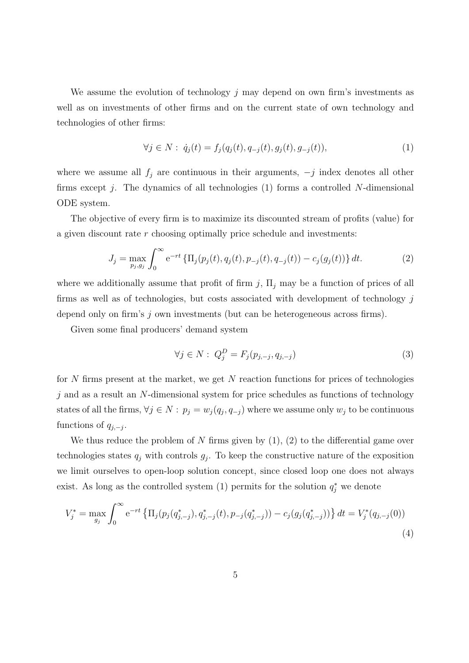We assume the evolution of technology  $j$  may depend on own firm's investments as well as on investments of other firms and on the current state of own technology and technologies of other firms:

$$
\forall j \in N: \dot{q}_j(t) = f_j(q_j(t), q_{-j}(t), g_j(t), g_{-j}(t)), \tag{1}
$$

where we assume all  $f_j$  are continuous in their arguments,  $-j$  index denotes all other firms except  $j$ . The dynamics of all technologies (1) forms a controlled N-dimensional ODE system.

The objective of every firm is to maximize its discounted stream of profits (value) for a given discount rate r choosing optimally price schedule and investments:

$$
J_j = \max_{p_j, g_j} \int_0^\infty e^{-rt} \left\{ \Pi_j(p_j(t), q_j(t), p_{-j}(t), q_{-j}(t)) - c_j(g_j(t)) \right\} dt.
$$
 (2)

where we additionally assume that profit of firm j,  $\Pi_i$  may be a function of prices of all firms as well as of technologies, but costs associated with development of technology  $j$ depend only on firm's j own investments (but can be heterogeneous across firms).

Given some final producers' demand system

$$
\forall j \in N: Q_j^D = F_j(p_{j,-j}, q_{j,-j}) \tag{3}
$$

for  $N$  firms present at the market, we get  $N$  reaction functions for prices of technologies  $j$  and as a result an  $N$ -dimensional system for price schedules as functions of technology states of all the firms,  $\forall j \in N : p_j = w_j(q_j, q_{-j})$  where we assume only  $w_j$  to be continuous functions of  $q_{j,-j}$ .

We thus reduce the problem of N firms given by  $(1)$ ,  $(2)$  to the differential game over technologies states  $q_j$  with controls  $g_j$ . To keep the constructive nature of the exposition we limit ourselves to open-loop solution concept, since closed loop one does not always exist. As long as the controlled system (1) permits for the solution  $q_j^*$  we denote

$$
V_j^* = \max_{g_j} \int_0^\infty e^{-rt} \left\{ \Pi_j(p_j(q_{j,-j}^*), q_{j,-j}^*(t), p_{-j}(q_{j,-j}^*)) - c_j(g_j(q_{j,-j}^*)) \right\} dt = V_j^*(q_{j,-j}(0))
$$
\n(4)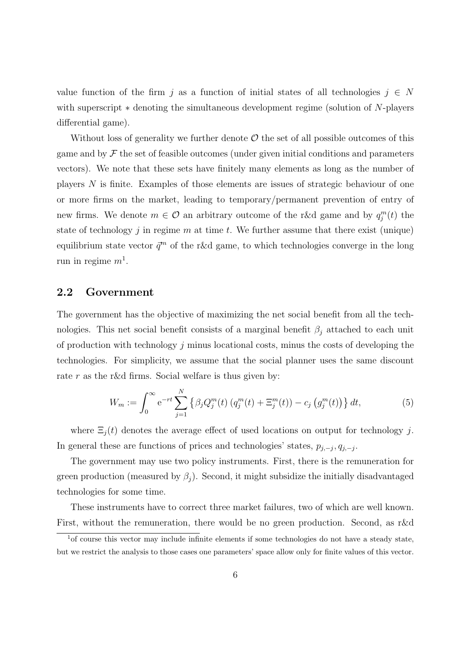value function of the firm j as a function of initial states of all technologies  $j \in N$ with superscript ∗ denoting the simultaneous development regime (solution of N-players differential game).

Without loss of generality we further denote  $\mathcal O$  the set of all possible outcomes of this game and by  $\mathcal F$  the set of feasible outcomes (under given initial conditions and parameters vectors). We note that these sets have finitely many elements as long as the number of players N is finite. Examples of those elements are issues of strategic behaviour of one or more firms on the market, leading to temporary/permanent prevention of entry of new firms. We denote  $m \in \mathcal{O}$  an arbitrary outcome of the r&d game and by  $q_j^m(t)$  the state of technology  $j$  in regime  $m$  at time  $t$ . We further assume that there exist (unique) equilibrium state vector  $\vec{q}^m$  of the r&d game, to which technologies converge in the long run in regime  $m<sup>1</sup>$ .

#### 2.2 Government

The government has the objective of maximizing the net social benefit from all the technologies. This net social benefit consists of a marginal benefit  $\beta_j$  attached to each unit of production with technology  $j$  minus locational costs, minus the costs of developing the technologies. For simplicity, we assume that the social planner uses the same discount rate r as the r&d firms. Social welfare is thus given by:

$$
W_m := \int_0^\infty e^{-rt} \sum_{j=1}^N \left\{ \beta_j Q_j^m(t) \left( q_j^m(t) + \Xi_j^m(t) \right) - c_j \left( g_j^m(t) \right) \right\} dt,\tag{5}
$$

where  $\Xi_j(t)$  denotes the average effect of used locations on output for technology j. In general these are functions of prices and technologies' states,  $p_{j,-j}, q_{j,-j}$ .

The government may use two policy instruments. First, there is the remuneration for green production (measured by  $\beta_i$ ). Second, it might subsidize the initially disadvantaged technologies for some time.

These instruments have to correct three market failures, two of which are well known. First, without the remuneration, there would be no green production. Second, as r&d

<sup>1</sup>of course this vector may include infinite elements if some technologies do not have a steady state, but we restrict the analysis to those cases one parameters' space allow only for finite values of this vector.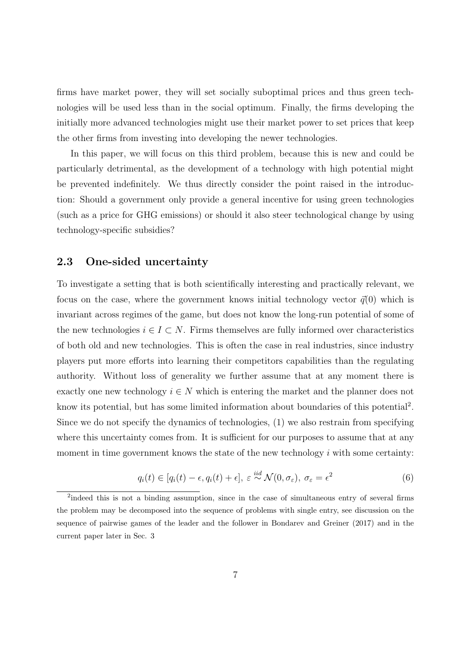firms have market power, they will set socially suboptimal prices and thus green technologies will be used less than in the social optimum. Finally, the firms developing the initially more advanced technologies might use their market power to set prices that keep the other firms from investing into developing the newer technologies.

In this paper, we will focus on this third problem, because this is new and could be particularly detrimental, as the development of a technology with high potential might be prevented indefinitely. We thus directly consider the point raised in the introduction: Should a government only provide a general incentive for using green technologies (such as a price for GHG emissions) or should it also steer technological change by using technology-specific subsidies?

#### 2.3 One-sided uncertainty

To investigate a setting that is both scientifically interesting and practically relevant, we focus on the case, where the government knows initial technology vector  $\vec{q}(0)$  which is invariant across regimes of the game, but does not know the long-run potential of some of the new technologies  $i \in I \subset N$ . Firms themselves are fully informed over characteristics of both old and new technologies. This is often the case in real industries, since industry players put more efforts into learning their competitors capabilities than the regulating authority. Without loss of generality we further assume that at any moment there is exactly one new technology  $i \in N$  which is entering the market and the planner does not know its potential, but has some limited information about boundaries of this potential<sup>2</sup>. Since we do not specify the dynamics of technologies, (1) we also restrain from specifying where this uncertainty comes from. It is sufficient for our purposes to assume that at any moment in time government knows the state of the new technology  $i$  with some certainty:

$$
q_i(t) \in [q_i(t) - \epsilon, q_i(t) + \epsilon], \ \varepsilon \stackrel{iid}{\sim} \mathcal{N}(0, \sigma_{\varepsilon}), \ \sigma_{\varepsilon} = \epsilon^2
$$
 (6)

<sup>&</sup>lt;sup>2</sup>indeed this is not a binding assumption, since in the case of simultaneous entry of several firms the problem may be decomposed into the sequence of problems with single entry, see discussion on the sequence of pairwise games of the leader and the follower in Bondarev and Greiner (2017) and in the current paper later in Sec. 3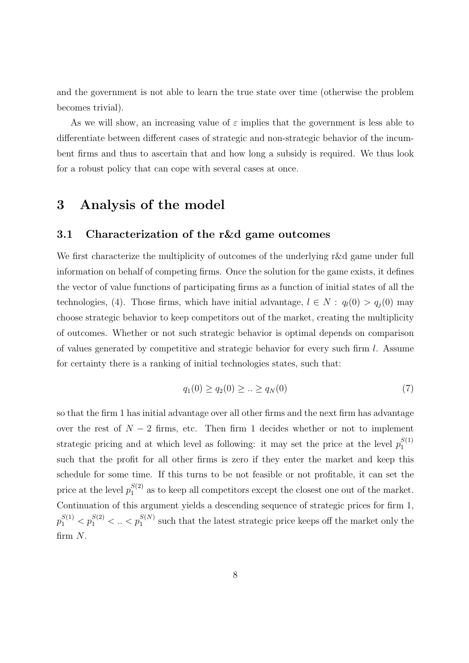and the government is not able to learn the true state over time (otherwise the problem becomes trivial).

As we will show, an increasing value of  $\varepsilon$  implies that the government is less able to differentiate between different cases of strategic and non-strategic behavior of the incumbent firms and thus to ascertain that and how long a subsidy is required. We thus look for a robust policy that can cope with several cases at once.

## 3 Analysis of the model

#### 3.1 Characterization of the r&d game outcomes

We first characterize the multiplicity of outcomes of the underlying r&d game under full information on behalf of competing firms. Once the solution for the game exists, it defines the vector of value functions of participating firms as a function of initial states of all the technologies, (4). Those firms, which have initial advantage,  $l \in N$ :  $q_l(0) > q_j(0)$  may choose strategic behavior to keep competitors out of the market, creating the multiplicity of outcomes. Whether or not such strategic behavior is optimal depends on comparison of values generated by competitive and strategic behavior for every such firm l. Assume for certainty there is a ranking of initial technologies states, such that:

$$
q_1(0) \ge q_2(0) \ge \dots \ge q_N(0) \tag{7}
$$

so that the firm 1 has initial advantage over all other firms and the next firm has advantage over the rest of  $N-2$  firms, etc. Then firm 1 decides whether or not to implement strategic pricing and at which level as following: it may set the price at the level  $p_1^{S(1)}$ 1 such that the profit for all other firms is zero if they enter the market and keep this schedule for some time. If this turns to be not feasible or not profitable, it can set the price at the level  $p_1^{S(2)}$  $\frac{S(2)}{1}$  as to keep all competitors except the closest one out of the market. Continuation of this argument yields a descending sequence of strategic prices for firm 1,  $p_1^{S(1)} < p_1^{S(2)} < \ldots < p_1^{S(N)}$  such that the latest strategic price keeps off the market only the firm N.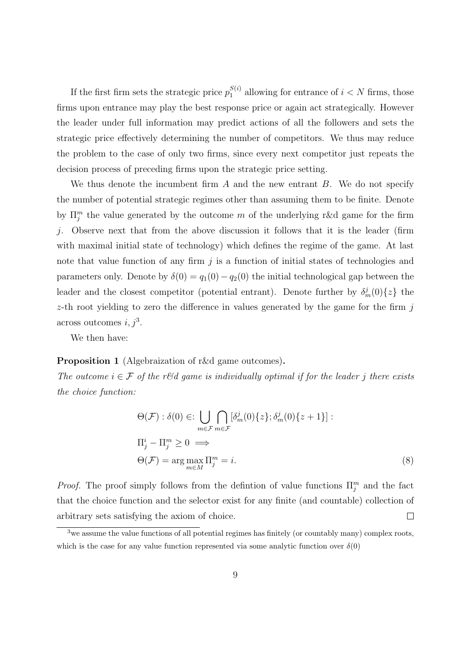If the first firm sets the strategic price  $p_1^{S(i)}$  $l_1^{S(i)}$  allowing for entrance of  $i < N$  firms, those firms upon entrance may play the best response price or again act strategically. However the leader under full information may predict actions of all the followers and sets the strategic price effectively determining the number of competitors. We thus may reduce the problem to the case of only two firms, since every next competitor just repeats the decision process of preceding firms upon the strategic price setting.

We thus denote the incumbent firm  $A$  and the new entrant  $B$ . We do not specify the number of potential strategic regimes other than assuming them to be finite. Denote by  $\Pi_j^m$  the value generated by the outcome m of the underlying r&d game for the firm j. Observe next that from the above discussion it follows that it is the leader (firm with maximal initial state of technology) which defines the regime of the game. At last note that value function of any firm  $j$  is a function of initial states of technologies and parameters only. Denote by  $\delta(0) = q_1(0) - q_2(0)$  the initial technological gap between the leader and the closest competitor (potential entrant). Denote further by  $\delta_m^j(0)\{z\}$  the z-th root yielding to zero the difference in values generated by the game for the firm  $j$ across outcomes  $i, j^3$ .

We then have:

#### Proposition 1 (Algebraization of r&d game outcomes).

The outcome  $i \in \mathcal{F}$  of the r&d game is individually optimal if for the leader j there exists the choice function:

$$
\Theta(\mathcal{F}) : \delta(0) \in: \bigcup_{m \in \mathcal{F}} \bigcap_{m \in \mathcal{F}} [\delta_m^j(0) \{z\}; \delta_m^j(0) \{z+1\}] :
$$
  
\n
$$
\Pi_j^i - \Pi_j^m \ge 0 \implies
$$
  
\n
$$
\Theta(\mathcal{F}) = \arg \max_{m \in M} \Pi_j^m = i.
$$
\n(8)

*Proof.* The proof simply follows from the defintion of value functions  $\Pi_j^m$  and the fact that the choice function and the selector exist for any finite (and countable) collection of arbitrary sets satisfying the axiom of choice.  $\Box$ 

<sup>&</sup>lt;sup>3</sup>we assume the value functions of all potential regimes has finitely (or countably many) complex roots, which is the case for any value function represented via some analytic function over  $\delta(0)$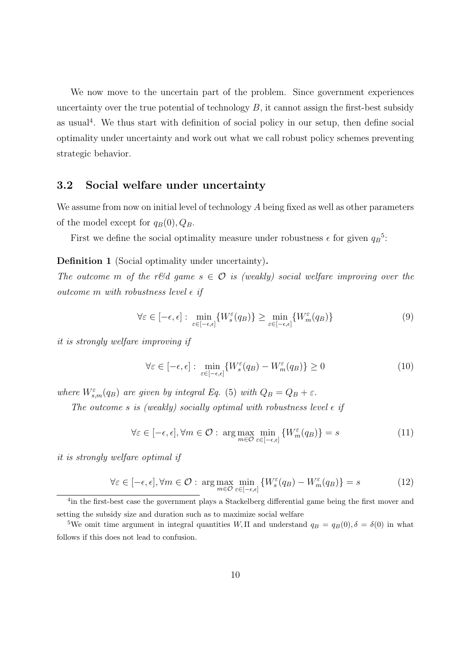We now move to the uncertain part of the problem. Since government experiences uncertainty over the true potential of technology  $B$ , it cannot assign the first-best subsidy as usual<sup>4</sup>. We thus start with definition of social policy in our setup, then define social optimality under uncertainty and work out what we call robust policy schemes preventing strategic behavior.

#### 3.2 Social welfare under uncertainty

We assume from now on initial level of technology  $A$  being fixed as well as other parameters of the model except for  $q_B(0), Q_B$ .

First we define the social optimality measure under robustness  $\epsilon$  for given  $q_B^5$ :

Definition 1 (Social optimality under uncertainty).

The outcome m of the r&d game  $s \in \mathcal{O}$  is (weakly) social welfare improving over the outcome m with robustness level  $\epsilon$  if

$$
\forall \varepsilon \in [-\epsilon, \epsilon] : \min_{\varepsilon \in [-\epsilon, \epsilon]} \{ W_s^{\varepsilon}(q_B) \} \ge \min_{\varepsilon \in [-\epsilon, \epsilon]} \{ W_m^{\varepsilon}(q_B) \}
$$
(9)

it is strongly welfare improving if

$$
\forall \varepsilon \in [-\epsilon, \epsilon] : \min_{\varepsilon \in [-\epsilon, \epsilon]} \{ W_s^{\varepsilon}(q_B) - W_m^{\varepsilon}(q_B) \} \ge 0 \tag{10}
$$

where  $W_{s,m}^{\varepsilon}(q_B)$  are given by integral Eq. (5) with  $Q_B = Q_B + \varepsilon$ .

The outcome s is (weakly) socially optimal with robustness level  $\epsilon$  if

$$
\forall \varepsilon \in [-\epsilon, \epsilon], \forall m \in \mathcal{O}: \arg \max_{m \in \mathcal{O}} \min_{\varepsilon \in [-\epsilon, \epsilon]} \{W_m^{\varepsilon}(q_B)\} = s \tag{11}
$$

it is strongly welfare optimal if

$$
\forall \varepsilon \in [-\epsilon, \epsilon], \forall m \in \mathcal{O}: \arg \max_{m \in \mathcal{O}} \min_{\varepsilon \in [-\epsilon, \epsilon]} \{ W_s^{\varepsilon}(q_B) - W_m^{\varepsilon}(q_B) \} = s \tag{12}
$$

<sup>4</sup> in the first-best case the government plays a Stackelberg differential game being the first mover and setting the subsidy size and duration such as to maximize social welfare

<sup>5</sup>We omit time argument in integral quantities W,  $\Pi$  and understand  $q_B = q_B(0), \delta = \delta(0)$  in what follows if this does not lead to confusion.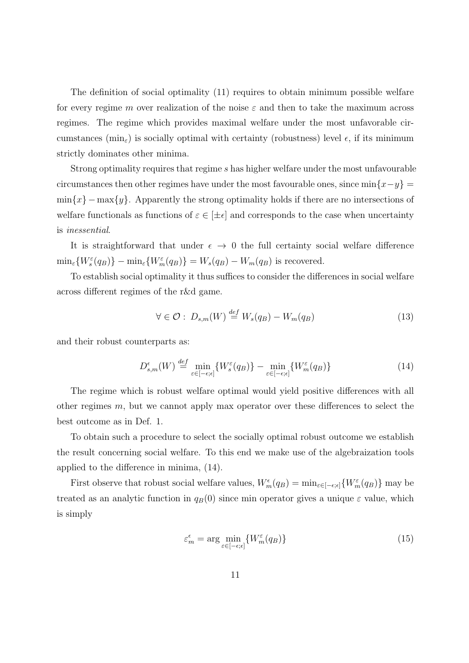The definition of social optimality (11) requires to obtain minimum possible welfare for every regime m over realization of the noise  $\varepsilon$  and then to take the maximum across regimes. The regime which provides maximal welfare under the most unfavorable circumstances ( $\min_{\varepsilon}$ ) is socially optimal with certainty (robustness) level  $\epsilon$ , if its minimum strictly dominates other minima.

Strong optimality requires that regime s has higher welfare under the most unfavourable circumstances then other regimes have under the most favourable ones, since  $\min\{x-y\}$  =  $\min\{x\} - \max\{y\}.$  Apparently the strong optimality holds if there are no intersections of welfare functionals as functions of  $\varepsilon \in [\pm \epsilon]$  and corresponds to the case when uncertainty is inessential.

It is straightforward that under  $\epsilon \rightarrow 0$  the full certainty social welfare difference  $\min_{\varepsilon} \{ W_s^{\varepsilon}(q_B) \} - \min_{\varepsilon} \{ W_m^{\varepsilon}(q_B) \} = W_s(q_B) - W_m(q_B)$  is recovered.

To establish social optimality it thus suffices to consider the differences in social welfare across different regimes of the r&d game.

$$
\forall \in \mathcal{O}: D_{s,m}(W) \stackrel{def}{=} W_s(q_B) - W_m(q_B) \tag{13}
$$

and their robust counterparts as:

$$
D_{s,m}^{\epsilon}(W) \stackrel{def}{=} \min_{\varepsilon \in [-\epsilon,\epsilon]} \{ W_s^{\varepsilon}(q_B) \} - \min_{\varepsilon \in [-\epsilon,\epsilon]} \{ W_m^{\varepsilon}(q_B) \}
$$
(14)

The regime which is robust welfare optimal would yield positive differences with all other regimes m, but we cannot apply max operator over these differences to select the best outcome as in Def. 1.

To obtain such a procedure to select the socially optimal robust outcome we establish the result concerning social welfare. To this end we make use of the algebraization tools applied to the difference in minima, (14).

First observe that robust social welfare values,  $W_m^{\epsilon}(q_B) = \min_{\epsilon \in [-\epsilon, \epsilon]} \{W_m^{\epsilon}(q_B)\}\$  may be treated as an analytic function in  $q_B(0)$  since min operator gives a unique  $\varepsilon$  value, which is simply

$$
\varepsilon_m^{\epsilon} = \arg\min_{\varepsilon \in [-\epsilon, \epsilon]} \{ W_m^{\varepsilon}(q_B) \}
$$
\n(15)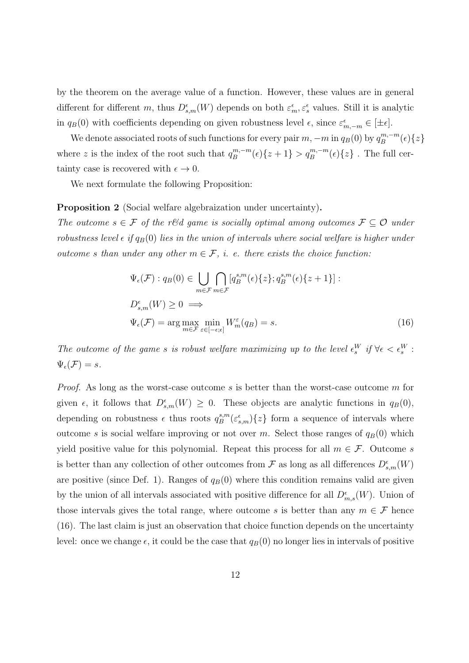by the theorem on the average value of a function. However, these values are in general different for different m, thus  $D_{s,m}^{\epsilon}(W)$  depends on both  $\varepsilon_m^{\epsilon}, \varepsilon_s^{\epsilon}$  values. Still it is analytic in  $q_B(0)$  with coefficients depending on given robustness level  $\epsilon$ , since  $\varepsilon_{m,-m}^{\epsilon} \in [\pm \epsilon]$ .

We denote associated roots of such functions for every pair  $m, -m$  in  $q_B(0)$  by  $q_B^{m,-m}$  $\binom{m,-m}{B}$  $\{\varepsilon\}$ where z is the index of the root such that  $q_B^{m,-m}$  $g_B^{m,-m}(\epsilon)\{z+1\} > q_B^{m,-m}(\epsilon)\{z\}$ . The full certainty case is recovered with  $\epsilon \to 0$ .

We next formulate the following Proposition:

Proposition 2 (Social welfare algebraization under uncertainty).

The outcome  $s \in \mathcal{F}$  of the r&d game is socially optimal among outcomes  $\mathcal{F} \subseteq \mathcal{O}$  under robustness level  $\epsilon$  if  $q_B(0)$  lies in the union of intervals where social welfare is higher under outcome s than under any other  $m \in \mathcal{F}$ , *i.* e. there exists the choice function:

$$
\Psi_{\epsilon}(\mathcal{F}) : q_B(0) \in \bigcup_{m \in \mathcal{F}} \bigcap_{m \in \mathcal{F}} [q_B^{s,m}(\epsilon)\{z\}; q_B^{s,m}(\epsilon)\{z+1\}]:
$$
\n
$$
D_{s,m}^{\epsilon}(W) \ge 0 \implies
$$
\n
$$
\Psi_{\epsilon}(\mathcal{F}) = \arg\max_{m \in \mathcal{F}} \min_{\varepsilon \in [-\epsilon; \epsilon]} W_m^{\varepsilon}(q_B) = s.
$$
\n(16)

The outcome of the game s is robust welfare maximizing up to the level  $\epsilon_s^W$  if  $\forall \epsilon < \epsilon_s^W$ :  $\Psi_{\epsilon}(\mathcal{F})=s.$ 

*Proof.* As long as the worst-case outcome s is better than the worst-case outcome m for given  $\epsilon$ , it follows that  $D^{\epsilon}_{s,m}(W) \geq 0$ . These objects are analytic functions in  $q_B(0)$ , depending on robustness  $\epsilon$  thus roots  $q_B^{s,m}$  $\binom{s,m}{B} \{\varepsilon_{s,m}^{\varepsilon}\}\$  form a sequence of intervals where outcome s is social welfare improving or not over m. Select those ranges of  $q_B(0)$  which yield positive value for this polynomial. Repeat this process for all  $m \in \mathcal{F}$ . Outcome s is better than any collection of other outcomes from  $\mathcal F$  as long as all differences  $D_{s,m}^{\epsilon}(W)$ are positive (since Def. 1). Ranges of  $q_B(0)$  where this condition remains valid are given by the union of all intervals associated with positive difference for all  $D_{m,s}^{\epsilon}(W)$ . Union of those intervals gives the total range, where outcome s is better than any  $m \in \mathcal{F}$  hence (16). The last claim is just an observation that choice function depends on the uncertainty level: once we change  $\epsilon$ , it could be the case that  $q_B(0)$  no longer lies in intervals of positive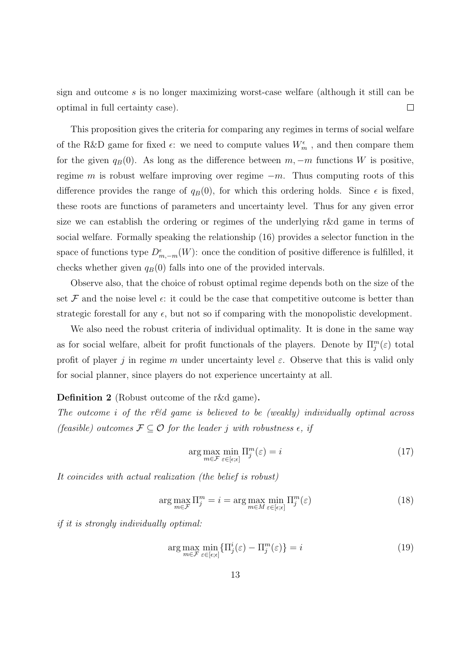sign and outcome s is no longer maximizing worst-case welfare (although it still can be optimal in full certainty case).  $\Box$ 

This proposition gives the criteria for comparing any regimes in terms of social welfare of the R&D game for fixed  $\epsilon$ : we need to compute values  $W_m^{\epsilon}$ , and then compare them for the given  $q_B(0)$ . As long as the difference between  $m, -m$  functions W is positive, regime m is robust welfare improving over regime  $-m$ . Thus computing roots of this difference provides the range of  $q_B(0)$ , for which this ordering holds. Since  $\epsilon$  is fixed, these roots are functions of parameters and uncertainty level. Thus for any given error size we can establish the ordering or regimes of the underlying r&d game in terms of social welfare. Formally speaking the relationship (16) provides a selector function in the space of functions type  $D_{m,-m}^{\epsilon}(W)$ : once the condition of positive difference is fulfilled, it checks whether given  $q_B(0)$  falls into one of the provided intervals.

Observe also, that the choice of robust optimal regime depends both on the size of the set  $\mathcal F$  and the noise level  $\epsilon$ : it could be the case that competitive outcome is better than strategic forestall for any  $\epsilon$ , but not so if comparing with the monopolistic development.

We also need the robust criteria of individual optimality. It is done in the same way as for social welfare, albeit for profit functionals of the players. Denote by  $\Pi_j^m(\varepsilon)$  total profit of player j in regime m under uncertainty level  $\varepsilon$ . Observe that this is valid only for social planner, since players do not experience uncertainty at all.

#### Definition 2 (Robust outcome of the r&d game).

The outcome i of the r&d game is believed to be (weakly) individually optimal across (feasible) outcomes  $\mathcal{F} \subseteq \mathcal{O}$  for the leader j with robustness  $\epsilon$ , if

$$
\arg\max_{m \in \mathcal{F}} \min_{\varepsilon \in [\varepsilon; \varepsilon]} \Pi_j^m(\varepsilon) = i \tag{17}
$$

It coincides with actual realization (the belief is robust)

$$
\arg\max_{m\in\mathcal{F}} \Pi_j^m = i = \arg\max_{m\in M} \min_{\varepsilon \in [\varepsilon; \varepsilon]} \Pi_j^m(\varepsilon)
$$
\n(18)

if it is strongly individually optimal:

$$
\arg\max_{m\in\mathcal{F}}\min_{\varepsilon\in[\varepsilon,\varepsilon]} \{ \Pi_j^i(\varepsilon) - \Pi_j^m(\varepsilon) \} = i
$$
\n(19)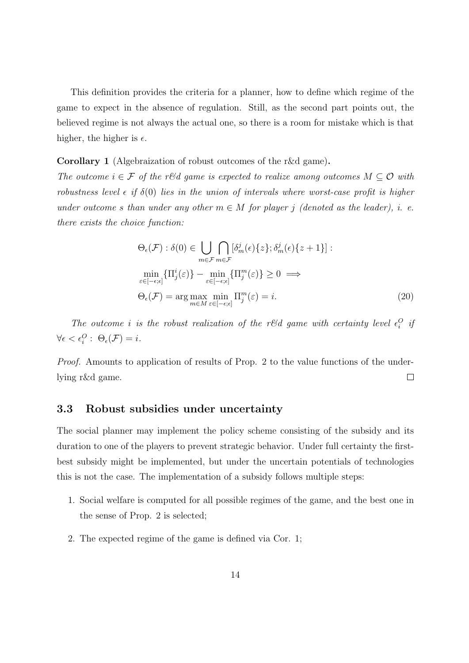This definition provides the criteria for a planner, how to define which regime of the game to expect in the absence of regulation. Still, as the second part points out, the believed regime is not always the actual one, so there is a room for mistake which is that higher, the higher is  $\epsilon$ .

Corollary 1 (Algebraization of robust outcomes of the r&d game).

The outcome  $i \in \mathcal{F}$  of the r&d game is expected to realize among outcomes  $M \subseteq \mathcal{O}$  with robustness level  $\epsilon$  if  $\delta(0)$  lies in the union of intervals where worst-case profit is higher under outcome s than under any other  $m \in M$  for player j (denoted as the leader), i. e. there exists the choice function:

$$
\Theta_{\epsilon}(\mathcal{F}) : \delta(0) \in \bigcup_{m \in \mathcal{F}} \bigcap_{m \in \mathcal{F}} [\delta_m^j(\epsilon) \{z\}; \delta_m^j(\epsilon) \{z+1\}]:
$$
  
\n
$$
\min_{\varepsilon \in [-\epsilon; \epsilon]} \{ \Pi_j^i(\varepsilon)\} - \min_{\varepsilon \in [-\epsilon; \epsilon]} \{ \Pi_j^m(\varepsilon)\} \ge 0 \implies
$$
  
\n
$$
\Theta_{\epsilon}(\mathcal{F}) = \arg \max_{m \in M} \min_{\varepsilon \in [-\epsilon; \epsilon]} \Pi_j^m(\varepsilon) = i.
$$
\n(20)

The outcome *i* is the robust realization of the r&d game with certainty level  $\epsilon_i^O$  if  $\forall \epsilon < \epsilon_i^O: \ \Theta_{\epsilon}(\mathcal{F}) = i.$ 

Proof. Amounts to application of results of Prop. 2 to the value functions of the underlying r&d game.  $\Box$ 

#### 3.3 Robust subsidies under uncertainty

The social planner may implement the policy scheme consisting of the subsidy and its duration to one of the players to prevent strategic behavior. Under full certainty the firstbest subsidy might be implemented, but under the uncertain potentials of technologies this is not the case. The implementation of a subsidy follows multiple steps:

- 1. Social welfare is computed for all possible regimes of the game, and the best one in the sense of Prop. 2 is selected;
- 2. The expected regime of the game is defined via Cor. 1;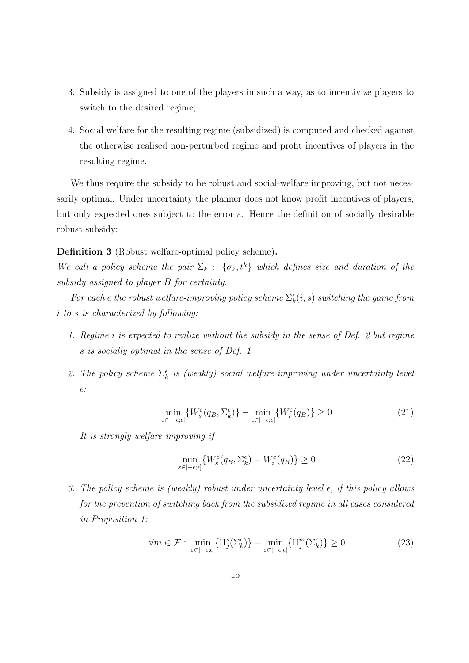- 3. Subsidy is assigned to one of the players in such a way, as to incentivize players to switch to the desired regime;
- 4. Social welfare for the resulting regime (subsidized) is computed and checked against the otherwise realised non-perturbed regime and profit incentives of players in the resulting regime.

We thus require the subsidy to be robust and social-welfare improving, but not necessarily optimal. Under uncertainty the planner does not know profit incentives of players, but only expected ones subject to the error  $\varepsilon$ . Hence the definition of socially desirable robust subsidy:

Definition 3 (Robust welfare-optimal policy scheme).

We call a policy scheme the pair  $\Sigma_k$  :  $\{\sigma_k, t^k\}$  which defines size and duration of the subsidy assigned to player B for certainty.

For each  $\epsilon$  the robust welfare-improving policy scheme  $\Sigma_k^{\epsilon}(i,s)$  switching the game from i to s is characterized by following:

- 1. Regime i is expected to realize without the subsidy in the sense of Def. 2 but regime s is socially optimal in the sense of Def. 1
- 2. The policy scheme  $\Sigma_k^{\epsilon}$  is (weakly) social welfare-improving under uncertainty level  $\epsilon$  :

$$
\min_{\varepsilon \in [-\epsilon, \epsilon]} \{ W_s^{\varepsilon}(q_B, \Sigma_k^{\epsilon}) \} - \min_{\varepsilon \in [-\epsilon, \epsilon]} \{ W_i^{\varepsilon}(q_B) \} \ge 0 \tag{21}
$$

It is strongly welfare improving if

$$
\min_{\varepsilon \in [-\epsilon, \epsilon]} \{ W_s^{\varepsilon}(q_B, \Sigma_k^{\epsilon}) - W_i^{\varepsilon}(q_B) \} \ge 0 \tag{22}
$$

3. The policy scheme is (weakly) robust under uncertainty level  $\epsilon$ , if this policy allows for the prevention of switching back from the subsidized regime in all cases considered in Proposition 1:

$$
\forall m \in \mathcal{F}: \min_{\varepsilon \in [-\epsilon,\epsilon]} \{ \Pi_j^s(\Sigma_k^{\epsilon}) \} - \min_{\varepsilon \in [-\epsilon,\epsilon]} \{ \Pi_j^m(\Sigma_k^{\epsilon}) \} \ge 0 \tag{23}
$$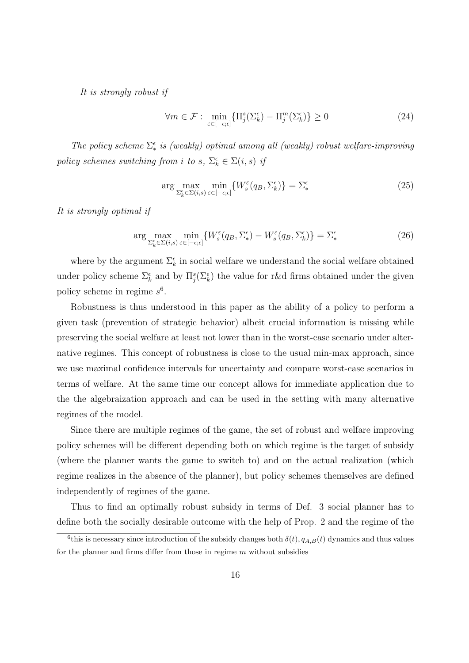It is strongly robust if

$$
\forall m \in \mathcal{F}: \min_{\varepsilon \in [-\epsilon, \epsilon]} \{ \Pi_j^s(\Sigma_k^{\epsilon}) - \Pi_j^m(\Sigma_k^{\epsilon}) \} \ge 0 \tag{24}
$$

The policy scheme  $\Sigma^{\epsilon}$  is (weakly) optimal among all (weakly) robust welfare-improving policy schemes switching from i to s,  $\Sigma_k^{\epsilon} \in \Sigma(i, s)$  if

$$
\arg\max_{\Sigma_k^{\epsilon} \in \Sigma(i,s)} \min_{\varepsilon \in [-\epsilon,\epsilon]} \{W_s^{\varepsilon}(q_B, \Sigma_k^{\epsilon})\} = \Sigma_*^{\epsilon}
$$
\n(25)

It is strongly optimal if

$$
\arg\max_{\Sigma_k^{\epsilon} \in \Sigma(i,s)} \min_{\varepsilon \in [-\epsilon;\epsilon]} \{W_s^{\varepsilon}(q_B, \Sigma_*^{\epsilon}) - W_s^{\varepsilon}(q_B, \Sigma_k^{\epsilon})\} = \Sigma_*^{\epsilon}
$$
\n(26)

where by the argument  $\Sigma_k^{\epsilon}$  in social welfare we understand the social welfare obtained under policy scheme  $\Sigma_k^{\epsilon}$  and by  $\Pi_j^s(\Sigma_k^{\epsilon})$  the value for r&d firms obtained under the given policy scheme in regime  $s^6$ .

Robustness is thus understood in this paper as the ability of a policy to perform a given task (prevention of strategic behavior) albeit crucial information is missing while preserving the social welfare at least not lower than in the worst-case scenario under alternative regimes. This concept of robustness is close to the usual min-max approach, since we use maximal confidence intervals for uncertainty and compare worst-case scenarios in terms of welfare. At the same time our concept allows for immediate application due to the the algebraization approach and can be used in the setting with many alternative regimes of the model.

Since there are multiple regimes of the game, the set of robust and welfare improving policy schemes will be different depending both on which regime is the target of subsidy (where the planner wants the game to switch to) and on the actual realization (which regime realizes in the absence of the planner), but policy schemes themselves are defined independently of regimes of the game.

Thus to find an optimally robust subsidy in terms of Def. 3 social planner has to define both the socially desirable outcome with the help of Prop. 2 and the regime of the

<sup>&</sup>lt;sup>6</sup>this is necessary since introduction of the subsidy changes both  $\delta(t)$ ,  $q_{A,B}(t)$  dynamics and thus values for the planner and firms differ from those in regime  $m$  without subsidies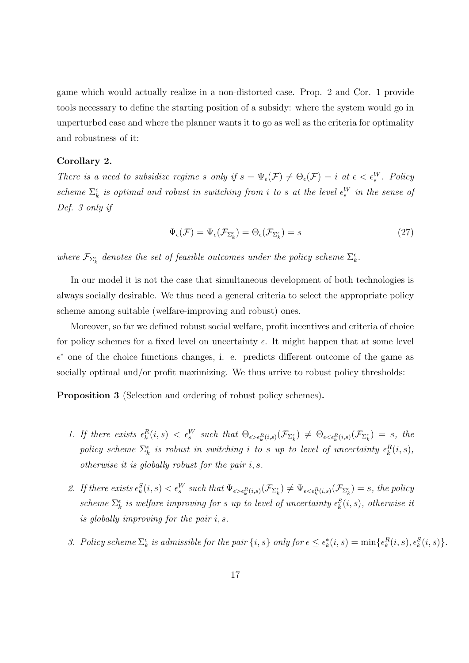game which would actually realize in a non-distorted case. Prop. 2 and Cor. 1 provide tools necessary to define the starting position of a subsidy: where the system would go in unperturbed case and where the planner wants it to go as well as the criteria for optimality and robustness of it:

#### Corollary 2.

There is a need to subsidize regime s only if  $s = \Psi_{\epsilon}(\mathcal{F}) \neq \Theta_{\epsilon}(\mathcal{F}) = i$  at  $\epsilon < \epsilon_s^W$ . Policy scheme  $\Sigma_k^{\epsilon}$  is optimal and robust in switching from i to s at the level  $\epsilon_s^W$  in the sense of Def. 3 only if

$$
\Psi_{\epsilon}(\mathcal{F}) = \Psi_{\epsilon}(\mathcal{F}_{\Sigma_{k}^{\epsilon}}) = \Theta_{\epsilon}(\mathcal{F}_{\Sigma_{k}^{\epsilon}}) = s \tag{27}
$$

where  $\mathcal{F}_{\Sigma_k^{\epsilon}}$  denotes the set of feasible outcomes under the policy scheme  $\Sigma_k^{\epsilon}$ .

In our model it is not the case that simultaneous development of both technologies is always socially desirable. We thus need a general criteria to select the appropriate policy scheme among suitable (welfare-improving and robust) ones.

Moreover, so far we defined robust social welfare, profit incentives and criteria of choice for policy schemes for a fixed level on uncertainty  $\epsilon$ . It might happen that at some level  $\epsilon^*$  one of the choice functions changes, i. e. predicts different outcome of the game as socially optimal and/or profit maximizing. We thus arrive to robust policy thresholds:

Proposition 3 (Selection and ordering of robust policy schemes).

- 1. If there exists  $\epsilon_k^R(i,s) < \epsilon_s^W$  such that  $\Theta_{\epsilon > \epsilon_k^R(i,s)}(\mathcal{F}_{\Sigma_k^{\epsilon}}) \neq \Theta_{\epsilon < \epsilon_k^R(i,s)}(\mathcal{F}_{\Sigma_k^{\epsilon}}) = s$ , the policy scheme  $\Sigma_k^{\epsilon}$  is robust in switching i to s up to level of uncertainty  $\epsilon_k^R(i,s)$ , otherwise it is globally robust for the pair  $i, s$ .
- 2. If there exists  $\epsilon_k^S(i,s) < \epsilon_s^W$  such that  $\Psi_{\epsilon > \epsilon_k^R(i,s)}(\mathcal{F}_{\Sigma_k^{\epsilon}}) \neq \Psi_{\epsilon < \epsilon_k^R(i,s)}(\mathcal{F}_{\Sigma_k^{\epsilon}}) = s$ , the policy scheme  $\Sigma_k^{\epsilon}$  is welfare improving for s up to level of uncertainty  $\epsilon_k^S(i,s)$ , otherwise it is globally improving for the pair i, s.
- 3. Policy scheme  $\Sigma_k^{\epsilon}$  is admissible for the pair  $\{i, s\}$  only for  $\epsilon \leq \epsilon_k^*(i, s) = \min\{\epsilon_k^R(i, s), \epsilon_k^S(i, s)\}.$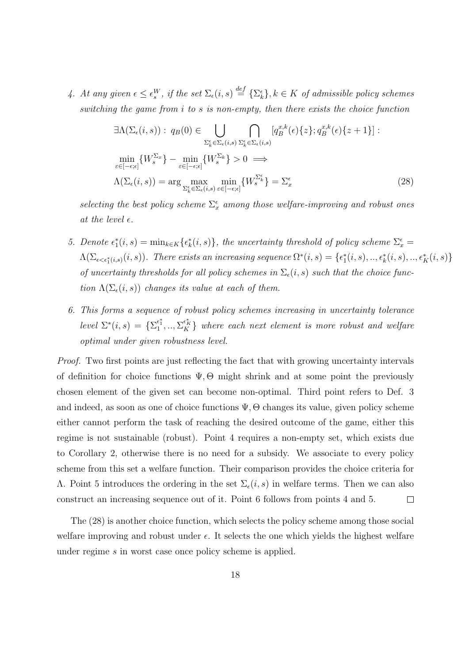4. At any given  $\epsilon \leq \epsilon_s^W$ , if the set  $\Sigma_{\epsilon}(i, s) \stackrel{def}{=} {\{\Sigma_{k}^{\epsilon}\}}, k \in K$  of admissible policy schemes switching the game from i to s is non-empty, then there exists the choice function

$$
\exists \Lambda(\Sigma_{\epsilon}(i,s)) : q_{B}(0) \in \bigcup_{\Sigma_{k}^{\epsilon} \in \Sigma_{\epsilon}(i,s)} \bigcap_{\Sigma_{k}^{\epsilon} \in \Sigma_{\epsilon}(i,s)} [q_{B}^{x,k}(\epsilon)\{z\}; q_{B}^{x,k}(\epsilon)\{z+1\}]:
$$
  
\n
$$
\min_{\varepsilon \in [-\epsilon;\epsilon]} \{W_{s}^{\Sigma_{x}}\} - \min_{\varepsilon \in [-\epsilon;\epsilon]} \{W_{s}^{\Sigma_{k}}\} > 0 \implies
$$
  
\n
$$
\Lambda(\Sigma_{\epsilon}(i,s)) = \arg \max_{\Sigma_{k}^{\epsilon} \in \Sigma_{\epsilon}(i,s)} \min_{\varepsilon \in [-\epsilon;\epsilon]} \{W_{s}^{\Sigma_{k}^{\epsilon}}\} = \Sigma_{x}^{\epsilon}
$$
\n(28)

selecting the best policy scheme  $\Sigma_x^{\epsilon}$  among those welfare-improving and robust ones at the level  $\epsilon$ .

- 5. Denote  $\epsilon_1^*(i,s) = \min_{k \in K} {\{\epsilon_k^*(i,s)\}}$ , the uncertainty threshold of policy scheme  $\Sigma_x^{\epsilon} =$  $\Lambda(\Sigma_{\epsilon\leq \epsilon_1^*(i,s)}(i,s))$ . There exists an increasing sequence  $\Omega^*(i,s)=\{\epsilon_1^*(i,s),..,\epsilon_k^*(i,s),..,\epsilon_K^*(i,s)\}$ of uncertainty thresholds for all policy schemes in  $\Sigma_{\epsilon}(i, s)$  such that the choice function  $\Lambda(\Sigma_{\epsilon}(i,s))$  changes its value at each of them.
- 6. This forms a sequence of robust policy schemes increasing in uncertainty tolerance level  $\Sigma^*(i,s) = {\Sigma_1^{\epsilon_1^*}, \dots, \Sigma_K^{\epsilon_K^*}}$  where each next element is more robust and welfare optimal under given robustness level.

Proof. Two first points are just reflecting the fact that with growing uncertainty intervals of definition for choice functions  $\Psi$ ,  $\Theta$  might shrink and at some point the previously chosen element of the given set can become non-optimal. Third point refers to Def. 3 and indeed, as soon as one of choice functions  $\Psi$ ,  $\Theta$  changes its value, given policy scheme either cannot perform the task of reaching the desired outcome of the game, either this regime is not sustainable (robust). Point 4 requires a non-empty set, which exists due to Corollary 2, otherwise there is no need for a subsidy. We associate to every policy scheme from this set a welfare function. Their comparison provides the choice criteria for Λ. Point 5 introduces the ordering in the set  $\Sigma_{\epsilon}(i, s)$  in welfare terms. Then we can also construct an increasing sequence out of it. Point 6 follows from points 4 and 5.  $\Box$ 

The (28) is another choice function, which selects the policy scheme among those social welfare improving and robust under  $\epsilon$ . It selects the one which yields the highest welfare under regime s in worst case once policy scheme is applied.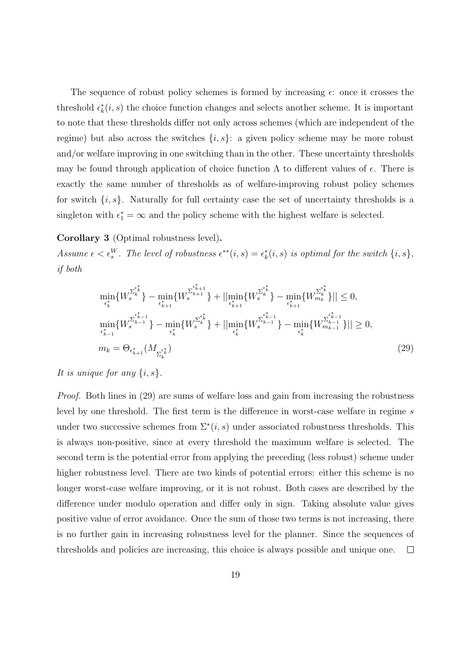The sequence of robust policy schemes is formed by increasing  $\epsilon$ : once it crosses the threshold  $\epsilon_k^*(i, s)$  the choice function changes and selects another scheme. It is important to note that these thresholds differ not only across schemes (which are independent of the regime) but also across the switches  $\{i, s\}$ : a given policy scheme may be more robust and/or welfare improving in one switching than in the other. These uncertainty thresholds may be found through application of choice function  $\Lambda$  to different values of  $\epsilon$ . There is exactly the same number of thresholds as of welfare-improving robust policy schemes for switch  $\{i, s\}$ . Naturally for full certainty case the set of uncertainty thresholds is a singleton with  $\epsilon_1^* = \infty$  and the policy scheme with the highest welfare is selected.

Corollary 3 (Optimal robustness level).

Assume  $\epsilon < \epsilon_s^W$ . The level of robustness  $\epsilon^{**}(i,s) = \epsilon_k^*(i,s)$  is optimal for the switch  $\{i,s\}$ , if both

$$
\min_{\epsilon_k^*} \{ W_s^{\Sigma_k^{\epsilon_k^*}} \} - \min_{\epsilon_{k+1}^*} \{ W_s^{\Sigma_{k+1}^{\epsilon_{k+1}^*}} \} + ||\min_{\epsilon_{k+1}^*} \{ W_s^{\Sigma_k^{\epsilon_k^*}} \} - \min_{\epsilon_{k+1}^*} \{ W_{m_k}^{\Sigma_k^{\epsilon_k^*}} \} || \le 0,
$$
\n
$$
\min_{\epsilon_{k-1}^*} \{ W_s^{\Sigma_{k-1}^{\epsilon_{k-1}^*}} \} - \min_{\epsilon_k^*} \{ W_s^{\Sigma_k^{\epsilon_{k-1}^*}} \} + ||\min_{\epsilon_k^*} \{ W_s^{\Sigma_{k-1}^{\epsilon_{k-1}^*}} \} - \min_{\epsilon_k^*} \{ W_{m_{k-1}}^{\Sigma_{k-1}^{\epsilon_{k-1}^*}} \} || \ge 0,
$$
\n
$$
m_k = \Theta_{\epsilon_{k+1}^*} (M_{\Sigma_k^{\epsilon_k^*}})
$$
\n(29)

#### It is unique for any  $\{i, s\}$ .

Proof. Both lines in (29) are sums of welfare loss and gain from increasing the robustness level by one threshold. The first term is the difference in worst-case welfare in regime s under two successive schemes from  $\Sigma^*(i, s)$  under associated robustness thresholds. This is always non-positive, since at every threshold the maximum welfare is selected. The second term is the potential error from applying the preceding (less robust) scheme under higher robustness level. There are two kinds of potential errors: either this scheme is no longer worst-case welfare improving, or it is not robust. Both cases are described by the difference under modulo operation and differ only in sign. Taking absolute value gives positive value of error avoidance. Once the sum of those two terms is not increasing, there is no further gain in increasing robustness level for the planner. Since the sequences of thresholds and policies are increasing, this choice is always possible and unique one.  $\Box$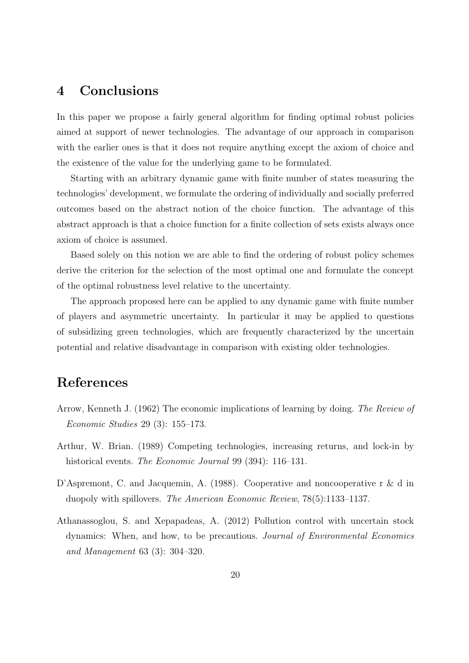## 4 Conclusions

In this paper we propose a fairly general algorithm for finding optimal robust policies aimed at support of newer technologies. The advantage of our approach in comparison with the earlier ones is that it does not require anything except the axiom of choice and the existence of the value for the underlying game to be formulated.

Starting with an arbitrary dynamic game with finite number of states measuring the technologies' development, we formulate the ordering of individually and socially preferred outcomes based on the abstract notion of the choice function. The advantage of this abstract approach is that a choice function for a finite collection of sets exists always once axiom of choice is assumed.

Based solely on this notion we are able to find the ordering of robust policy schemes derive the criterion for the selection of the most optimal one and formulate the concept of the optimal robustness level relative to the uncertainty.

The approach proposed here can be applied to any dynamic game with finite number of players and asymmetric uncertainty. In particular it may be applied to questions of subsidizing green technologies, which are frequently characterized by the uncertain potential and relative disadvantage in comparison with existing older technologies.

## References

- Arrow, Kenneth J. (1962) The economic implications of learning by doing. The Review of Economic Studies 29 (3): 155–173.
- Arthur, W. Brian. (1989) Competing technologies, increasing returns, and lock-in by historical events. *The Economic Journal* 99 (394): 116–131.
- D'Aspremont, C. and Jacquemin, A. (1988). Cooperative and noncooperative r & d in duopoly with spillovers. The American Economic Review, 78(5):1133–1137.
- Athanassoglou, S. and Xepapadeas, A. (2012) Pollution control with uncertain stock dynamics: When, and how, to be precautious. Journal of Environmental Economics and Management 63 (3): 304–320.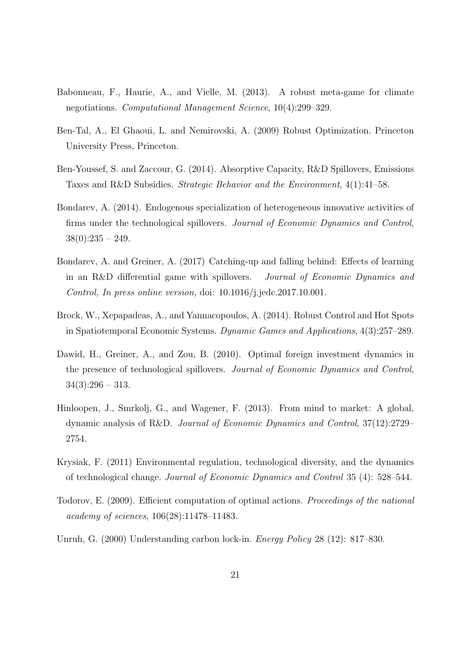- Babonneau, F., Haurie, A., and Vielle, M. (2013). A robust meta-game for climate negotiations. Computational Management Science, 10(4):299–329.
- Ben-Tal, A., El Ghaoui, L. and Nemirovski, A. (2009) Robust Optimization. Princeton University Press, Princeton.
- Ben-Youssef, S. and Zaccour, G. (2014). Absorptive Capacity, R&D Spillovers, Emissions Taxes and R&D Subsidies. Strategic Behavior and the Environment, 4(1):41–58.
- Bondarev, A. (2014). Endogenous specialization of heterogeneous innovative activities of firms under the technological spillovers. Journal of Economic Dynamics and Control,  $38(0):235 - 249.$
- Bondarev, A. and Greiner, A. (2017) Catching-up and falling behind: Effects of learning in an R&D differential game with spillovers. Journal of Economic Dynamics and Control, In press online version, doi: 10.1016/j.jedc.2017.10.001.
- Brock, W., Xepapadeas, A., and Yannacopoulos, A. (2014). Robust Control and Hot Spots in Spatiotemporal Economic Systems. Dynamic Games and Applications, 4(3):257–289.
- Dawid, H., Greiner, A., and Zou, B. (2010). Optimal foreign investment dynamics in the presence of technological spillovers. Journal of Economic Dynamics and Control,  $34(3):296 - 313.$
- Hinloopen, J., Smrkolj, G., and Wagener, F. (2013). From mind to market: A global, dynamic analysis of R&D. Journal of Economic Dynamics and Control, 37(12):2729– 2754.
- Krysiak, F. (2011) Environmental regulation, technological diversity, and the dynamics of technological change. Journal of Economic Dynamics and Control 35 (4): 528–544.
- Todorov, E. (2009). Efficient computation of optimal actions. Proceedings of the national academy of sciences, 106(28):11478–11483.
- Unruh, G. (2000) Understanding carbon lock-in. Energy Policy 28 (12): 817–830.